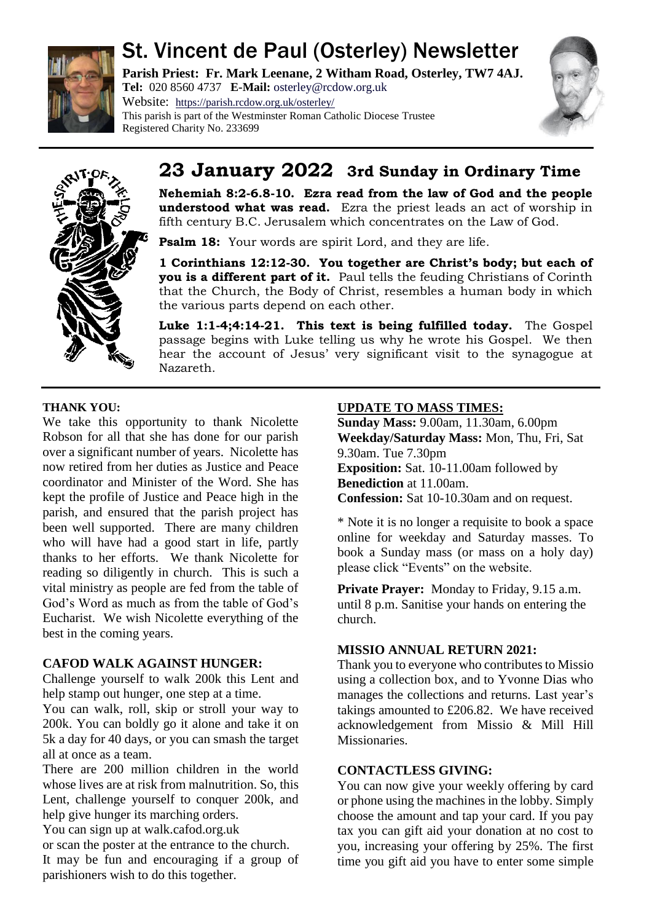

# St. Vincent de Paul (Osterley) Newsletter

**Parish Priest: Fr. Mark Leenane, 2 Witham Road, Osterley, TW7 4AJ. Tel:** 020 8560 4737 **E-Mail:** [osterley@rcdow.org.uk](mailto:osterley@rcdow.org.uk) Website: <https://parish.rcdow.org.uk/osterley/>

This parish is part of the Westminster Roman Catholic Diocese Trustee Registered Charity No. 233699





# **23 January 2022 3rd Sunday in Ordinary Time**

**Nehemiah 8:2-6.8-10. Ezra read from the law of God and the people understood what was read.** Ezra the priest leads an act of worship in fifth century B.C. Jerusalem which concentrates on the Law of God.

**Psalm 18:** Your words are spirit Lord, and they are life.

**1 Corinthians 12:12-30. You together are Christ's body; but each of you is a different part of it.** Paul tells the feuding Christians of Corinth that the Church, the Body of Christ, resembles a human body in which the various parts depend on each other.

**Luke 1:1-4;4:14-21. This text is being fulfilled today.** The Gospel passage begins with Luke telling us why he wrote his Gospel. We then hear the account of Jesus' very significant visit to the synagogue at Nazareth.

# **THANK YOU:**

We take this opportunity to thank Nicolette Robson for all that she has done for our parish over a significant number of years. Nicolette has now retired from her duties as Justice and Peace coordinator and Minister of the Word. She has kept the profile of Justice and Peace high in the parish, and ensured that the parish project has been well supported. There are many children who will have had a good start in life, partly thanks to her efforts. We thank Nicolette for reading so diligently in church. This is such a vital ministry as people are fed from the table of God's Word as much as from the table of God's Eucharist. We wish Nicolette everything of the best in the coming years.

# **CAFOD WALK AGAINST HUNGER:**

Challenge yourself to walk 200k this Lent and help stamp out hunger, one step at a time.

You can walk, roll, skip or stroll your way to 200k. You can boldly go it alone and take it on 5k a day for 40 days, or you can smash the target all at once as a team.

There are 200 million children in the world whose lives are at risk from malnutrition. So, this Lent, challenge yourself to conquer 200k, and help give hunger its marching orders.

You can sign up at walk.cafod.org.uk or scan the poster at the entrance to the church. It may be fun and encouraging if a group of parishioners wish to do this together.

# **UPDATE TO MASS TIMES:**

**Sunday Mass:** 9.00am, 11.30am, 6.00pm **Weekday/Saturday Mass:** Mon, Thu, Fri, Sat 9.30am. Tue 7.30pm **Exposition:** Sat. 10-11.00am followed by **Benediction** at 11.00am. **Confession:** Sat 10-10.30am and on request.

\* Note it is no longer a requisite to book a space online for weekday and Saturday masses. To book a Sunday mass (or mass on a holy day) please click "Events" on the website.

**Private Prayer:** Monday to Friday, 9.15 a.m. until 8 p.m. Sanitise your hands on entering the church.

# **MISSIO ANNUAL RETURN 2021:**

Thank you to everyone who contributes to Missio using a collection box, and to Yvonne Dias who manages the collections and returns. Last year's takings amounted to £206.82. We have received acknowledgement from Missio & Mill Hill Missionaries.

# **CONTACTLESS GIVING:**

You can now give your weekly offering by card or phone using the machines in the lobby. Simply choose the amount and tap your card. If you pay tax you can gift aid your donation at no cost to you, increasing your offering by 25%. The first time you gift aid you have to enter some simple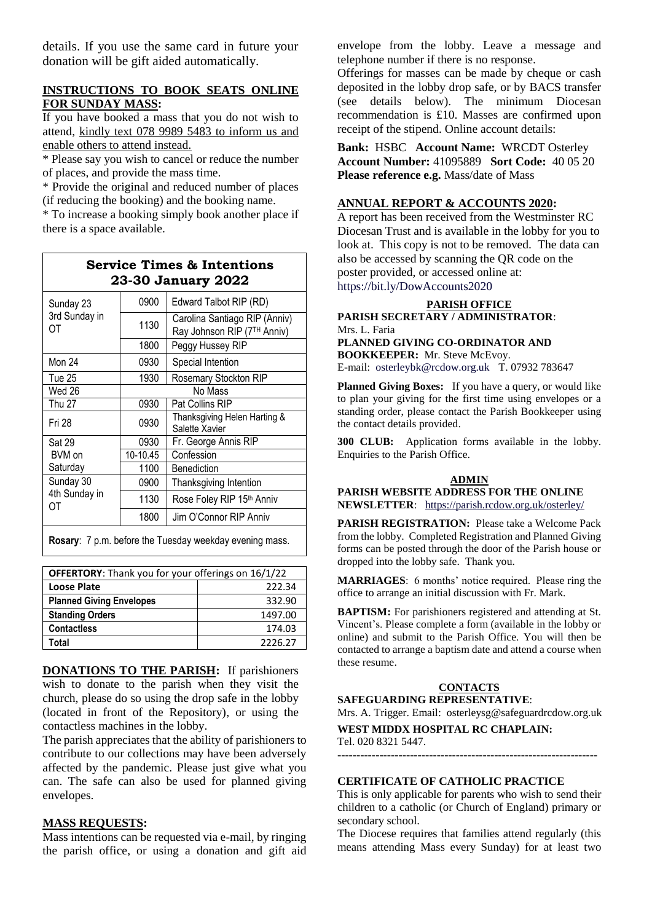details. If you use the same card in future your donation will be gift aided automatically.

#### **INSTRUCTIONS TO BOOK SEATS ONLINE FOR SUNDAY MASS:**

If you have booked a mass that you do not wish to attend, kindly text 078 9989 5483 to inform us and enable others to attend instead.

\* Please say you wish to cancel or reduce the number of places, and provide the mass time.

\* Provide the original and reduced number of places (if reducing the booking) and the booking name.

\* To increase a booking simply book another place if there is a space available.

| <b>Service Times &amp; Intentions</b><br>23-30 January 2022 |          |                                                              |  |
|-------------------------------------------------------------|----------|--------------------------------------------------------------|--|
| Sunday 23<br>3rd Sunday in<br>OΤ                            | 0900     | Edward Talbot RIP (RD)                                       |  |
|                                                             | 1130     | Carolina Santiago RIP (Anniv)<br>Ray Johnson RIP (7TH Anniv) |  |
|                                                             | 1800     | Peggy Hussey RIP                                             |  |
| Mon 24                                                      | 0930     | Special Intention                                            |  |
| Tue 25                                                      | 1930     | Rosemary Stockton RIP                                        |  |
| Wed 26                                                      | No Mass  |                                                              |  |
| <b>Thu 27</b>                                               | 0930     | Pat Collins RIP                                              |  |
| Fri 28                                                      | 0930     | Thanksgiving Helen Harting &<br>Salette Xavier               |  |
| <b>Sat 29</b>                                               | 0930     | Fr. George Annis RIP                                         |  |
| BVM on                                                      | 10-10.45 | Confession                                                   |  |
| Saturdav                                                    | 1100     | Benediction                                                  |  |
| Sunday 30<br>4th Sunday in<br>OΤ                            | 0900     | Thanksgiving Intention                                       |  |
|                                                             | 1130     | Rose Foley RIP 15th Anniv                                    |  |
|                                                             | 1800     | Jim O'Connor RIP Anniv                                       |  |
|                                                             |          |                                                              |  |

**Rosary**: 7 p.m. before the Tuesday weekday evening mass.

| <b>OFFERTORY:</b> Thank you for your offerings on 16/1/22 |         |  |
|-----------------------------------------------------------|---------|--|
| <b>Loose Plate</b>                                        | 222.34  |  |
| <b>Planned Giving Envelopes</b>                           | 332.90  |  |
| <b>Standing Orders</b>                                    | 1497.00 |  |
| <b>Contactless</b>                                        | 174.03  |  |
| Total                                                     | 2226.27 |  |

**DONATIONS TO THE PARISH:** If parishioners wish to donate to the parish when they visit the church, please do so using the drop safe in the lobby (located in front of the Repository), or using the contactless machines in the lobby.

The parish appreciates that the ability of parishioners to contribute to our collections may have been adversely affected by the pandemic. Please just give what you can. The safe can also be used for planned giving envelopes.

#### **MASS REQUESTS:**

Mass intentions can be requested via e-mail, by ringing the parish office, or using a donation and gift aid envelope from the lobby. Leave a message and telephone number if there is no response.

Offerings for masses can be made by cheque or cash deposited in the lobby drop safe, or by BACS transfer (see details below). The minimum Diocesan recommendation is £10. Masses are confirmed upon receipt of the stipend. Online account details:

**Bank:** HSBC **Account Name:** WRCDT Osterley **Account Number:** 41095889 **Sort Code:** 40 05 20 **Please reference e.g.** Mass/date of Mass

#### **ANNUAL REPORT & ACCOUNTS 2020:**

A report has been received from the Westminster RC Diocesan Trust and is available in the lobby for you to look at. This copy is not to be removed. The data can also be accessed by scanning the QR code on the poster provided, or accessed online at: <https://bit.ly/DowAccounts2020>

#### **PARISH OFFICE**

**PARISH SECRETARY / ADMINISTRATOR**: Mrs. L. Faria **PLANNED GIVING CO-ORDINATOR AND BOOKKEEPER:** Mr. Steve McEvoy. E-mail: [osterleybk@rcdow.org.uk](mailto:osterleybk@rcdow.org.uk) T. 07932 783647

**Planned Giving Boxes:** If you have a query, or would like to plan your giving for the first time using envelopes or a standing order, please contact the Parish Bookkeeper using the contact details provided.

**300 CLUB:** Application forms available in the lobby. Enquiries to the Parish Office.

#### **ADMIN**

**PARISH WEBSITE ADDRESS FOR THE ONLINE NEWSLETTER**: <https://parish.rcdow.org.uk/osterley/>

**PARISH REGISTRATION:** Please take a Welcome Pack from the lobby. Completed Registration and Planned Giving forms can be posted through the door of the Parish house or dropped into the lobby safe. Thank you.

**MARRIAGES**: 6 months' notice required. Please ring the office to arrange an initial discussion with Fr. Mark.

**BAPTISM:** For parishioners registered and attending at St. Vincent's. Please complete a form (available in the lobby or online) and submit to the Parish Office. You will then be contacted to arrange a baptism date and attend a course when these resume.

#### **CONTACTS**

**SAFEGUARDING REPRESENTATIVE**:

Mrs. A. Trigger. Email: osterleysg@safeguardrcdow.org.uk

**WEST MIDDX HOSPITAL RC CHAPLAIN:**  Tel. 020 8321 5447.

**--------------------------------------------------------------------**

#### **CERTIFICATE OF CATHOLIC PRACTICE**

This is only applicable for parents who wish to send their children to a catholic (or Church of England) primary or secondary school.

The Diocese requires that families attend regularly (this means attending Mass every Sunday) for at least two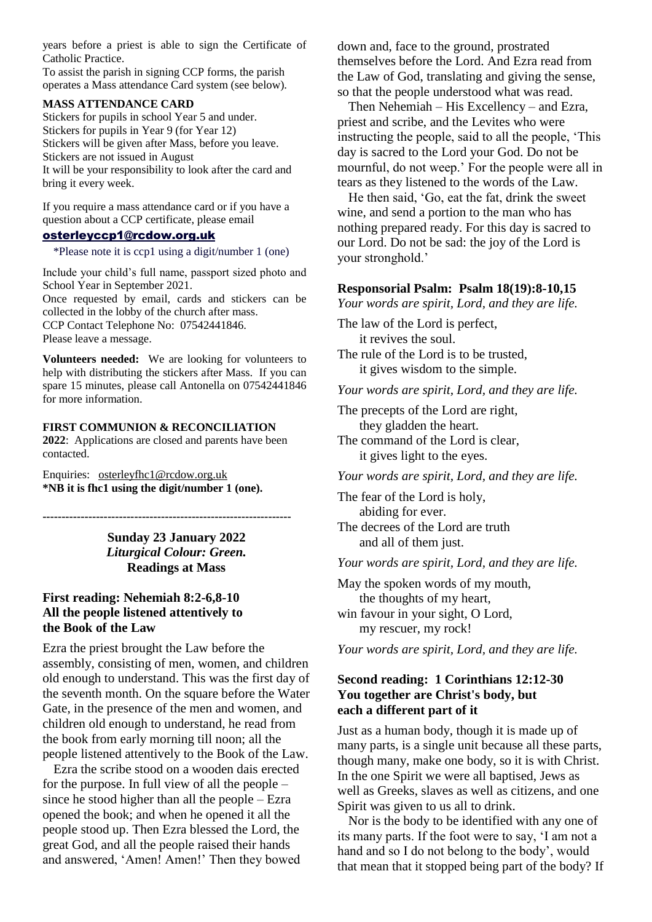years before a priest is able to sign the Certificate of Catholic Practice.

To assist the parish in signing CCP forms, the parish operates a Mass attendance Card system (see below).

#### **MASS ATTENDANCE CARD**

Stickers for pupils in school Year 5 and under. Stickers for pupils in Year 9 (for Year 12) Stickers will be given after Mass, before you leave. Stickers are not issued in August It will be your responsibility to look after the card and bring it every week.

If you require a mass attendance card or if you have a question about a CCP certificate, please email

# [osterleyccp1@rcdow.org.uk](mailto:osterleyccp1@rcdow.org.uk)

\*Please note it is ccp1 using a digit/number 1 (one)

Include your child's full name, passport sized photo and School Year in September 2021. Once requested by email, cards and stickers can be collected in the lobby of the church after mass. CCP Contact Telephone No: 07542441846. Please leave a message.

**Volunteers needed:** We are looking for volunteers to help with distributing the stickers after Mass. If you can spare 15 minutes, please call Antonella on 07542441846 for more information.

#### **FIRST COMMUNION & RECONCILIATION 2022**: Applications are closed and parents have been contacted.

Enquiries: [osterleyfhc1@rcdow.org.uk](mailto:osterleyfhc1@rcdow.org.uk)  **\*NB it is fhc1 using the digit/number 1 (one).** 

> **Sunday 23 January 2022** *Liturgical Colour: Green.* **Readings at Mass**

**-----------------------------------------------------------------**

# **First reading: Nehemiah 8:2-6,8-10 All the people listened attentively to the Book of the Law**

Ezra the priest brought the Law before the assembly, consisting of men, women, and children old enough to understand. This was the first day of the seventh month. On the square before the Water Gate, in the presence of the men and women, and children old enough to understand, he read from the book from early morning till noon; all the people listened attentively to the Book of the Law.

Ezra the scribe stood on a wooden dais erected for the purpose. In full view of all the people – since he stood higher than all the people – Ezra opened the book; and when he opened it all the people stood up. Then Ezra blessed the Lord, the great God, and all the people raised their hands and answered, 'Amen! Amen!' Then they bowed down and, face to the ground, prostrated themselves before the Lord. And Ezra read from the Law of God, translating and giving the sense, so that the people understood what was read.

Then Nehemiah – His Excellency – and Ezra, priest and scribe, and the Levites who were instructing the people, said to all the people, 'This day is sacred to the Lord your God. Do not be mournful, do not weep.' For the people were all in tears as they listened to the words of the Law.

He then said, 'Go, eat the fat, drink the sweet wine, and send a portion to the man who has nothing prepared ready. For this day is sacred to our Lord. Do not be sad: the joy of the Lord is your stronghold.'

# **Responsorial Psalm: Psalm 18(19):8-10,15**

*Your words are spirit, Lord, and they are life.*

The law of the Lord is perfect, it revives the soul.

The rule of the Lord is to be trusted, it gives wisdom to the simple.

*Your words are spirit, Lord, and they are life.*

The precepts of the Lord are right, they gladden the heart.

The command of the Lord is clear, it gives light to the eyes.

*Your words are spirit, Lord, and they are life.*

The fear of the Lord is holy, abiding for ever. The decrees of the Lord are truth and all of them just.

*Your words are spirit, Lord, and they are life.*

May the spoken words of my mouth, the thoughts of my heart, win favour in your sight, O Lord, my rescuer, my rock!

*Your words are spirit, Lord, and they are life.*

# **Second reading: 1 Corinthians 12:12-30 You together are Christ's body, but each a different part of it**

Just as a human body, though it is made up of many parts, is a single unit because all these parts, though many, make one body, so it is with Christ. In the one Spirit we were all baptised, Jews as well as Greeks, slaves as well as citizens, and one Spirit was given to us all to drink.

Nor is the body to be identified with any one of its many parts. If the foot were to say, 'I am not a hand and so I do not belong to the body', would that mean that it stopped being part of the body? If